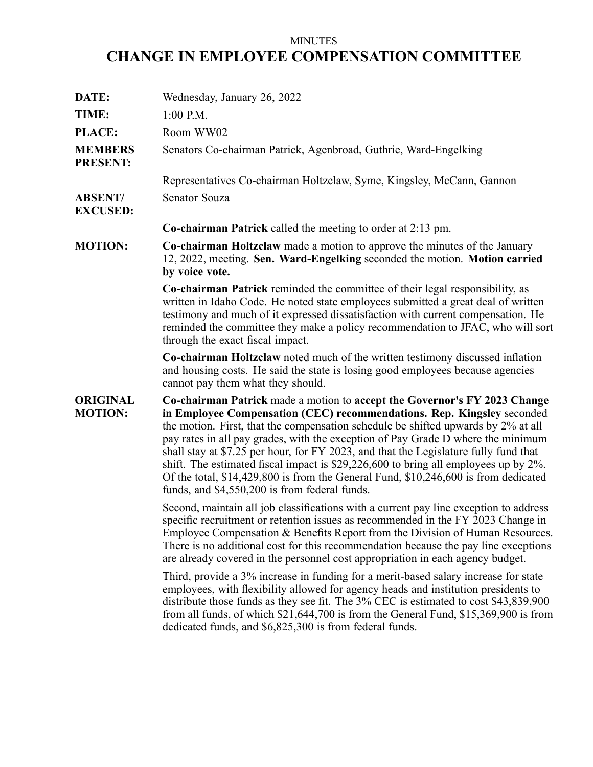## MINUTES **CHANGE IN EMPLOYEE COMPENSATION COMMITTEE**

| Wednesday, January 26, 2022                                                                                                                                                                                                                                                                                                                                                                                                                                                                                                                                                                                                                         |
|-----------------------------------------------------------------------------------------------------------------------------------------------------------------------------------------------------------------------------------------------------------------------------------------------------------------------------------------------------------------------------------------------------------------------------------------------------------------------------------------------------------------------------------------------------------------------------------------------------------------------------------------------------|
| $1:00$ P.M.                                                                                                                                                                                                                                                                                                                                                                                                                                                                                                                                                                                                                                         |
| Room WW02                                                                                                                                                                                                                                                                                                                                                                                                                                                                                                                                                                                                                                           |
| Senators Co-chairman Patrick, Agenbroad, Guthrie, Ward-Engelking                                                                                                                                                                                                                                                                                                                                                                                                                                                                                                                                                                                    |
| Representatives Co-chairman Holtzclaw, Syme, Kingsley, McCann, Gannon                                                                                                                                                                                                                                                                                                                                                                                                                                                                                                                                                                               |
| Senator Souza                                                                                                                                                                                                                                                                                                                                                                                                                                                                                                                                                                                                                                       |
| <b>Co-chairman Patrick</b> called the meeting to order at $2:13$ pm.                                                                                                                                                                                                                                                                                                                                                                                                                                                                                                                                                                                |
| <b>Co-chairman Holtzclaw</b> made a motion to approve the minutes of the January<br>12, 2022, meeting. Sen. Ward-Engelking seconded the motion. Motion carried<br>by voice vote.                                                                                                                                                                                                                                                                                                                                                                                                                                                                    |
| <b>Co-chairman Patrick</b> reminded the committee of their legal responsibility, as<br>written in Idaho Code. He noted state employees submitted a great deal of written<br>testimony and much of it expressed dissatisfaction with current compensation. He<br>reminded the committee they make a policy recommendation to JFAC, who will sort<br>through the exact fiscal impact.                                                                                                                                                                                                                                                                 |
| Co-chairman Holtzclaw noted much of the written testimony discussed inflation<br>and housing costs. He said the state is losing good employees because agencies<br>cannot pay them what they should.                                                                                                                                                                                                                                                                                                                                                                                                                                                |
| Co-chairman Patrick made a motion to accept the Governor's FY 2023 Change<br>in Employee Compensation (CEC) recommendations. Rep. Kingsley seconded<br>the motion. First, that the compensation schedule be shifted upwards by 2% at all<br>pay rates in all pay grades, with the exception of Pay Grade D where the minimum<br>shall stay at \$7.25 per hour, for FY 2023, and that the Legislature fully fund that<br>shift. The estimated fiscal impact is \$29,226,600 to bring all employees up by 2%.<br>Of the total, \$14,429,800 is from the General Fund, \$10,246,600 is from dedicated<br>funds, and \$4,550,200 is from federal funds. |
| Second, maintain all job classifications with a current pay line exception to address<br>specific recruitment or retention issues as recommended in the FY 2023 Change in<br>Employee Compensation & Benefits Report from the Division of Human Resources.<br>There is no additional cost for this recommendation because the pay line exceptions<br>are already covered in the personnel cost appropriation in each agency budget.                                                                                                                                                                                                                 |
| Third, provide a 3% increase in funding for a merit-based salary increase for state<br>employees, with flexibility allowed for agency heads and institution presidents to<br>distribute those funds as they see fit. The 3% CEC is estimated to cost \$43,839,900<br>from all funds, of which \$21,644,700 is from the General Fund, \$15,369,900 is from<br>dedicated funds, and \$6,825,300 is from federal funds.                                                                                                                                                                                                                                |
|                                                                                                                                                                                                                                                                                                                                                                                                                                                                                                                                                                                                                                                     |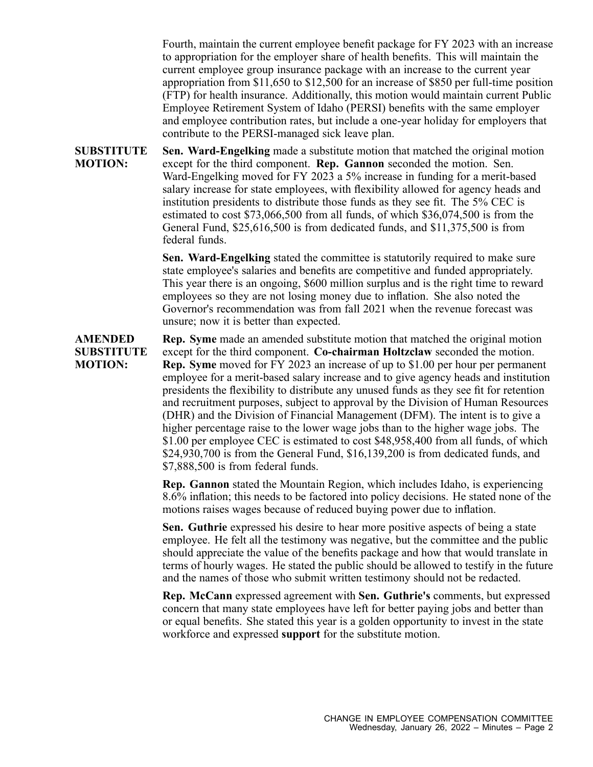Fourth, maintain the current employee benefit package for FY 2023 with an increase to appropriation for the employer share of health benefits. This will maintain the current employee group insurance package with an increase to the current year appropriation from \$11,650 to \$12,500 for an increase of \$850 per full-time position (FTP) for health insurance. Additionally, this motion would maintain current Public Employee Retirement System of Idaho (PERSI) benefits with the same employer and employee contribution rates, but include <sup>a</sup> one-year holiday for employers that contribute to the PERSI-managed sick leave plan.

**SUBSTITUTE MOTION: Sen. Ward-Engelking** made <sup>a</sup> substitute motion that matched the original motion excep<sup>t</sup> for the third component. **Rep. Gannon** seconded the motion. Sen. Ward-Engelking moved for FY 2023 <sup>a</sup> 5% increase in funding for <sup>a</sup> merit-based salary increase for state employees, with flexibility allowed for agency heads and institution presidents to distribute those funds as they see fit. The 5% CEC is estimated to cost \$73,066,500 from all funds, of which \$36,074,500 is from the General Fund, \$25,616,500 is from dedicated funds, and \$11,375,500 is from federal funds.

> **Sen. Ward-Engelking** stated the committee is statutorily required to make sure state employee's salaries and benefits are competitive and funded appropriately. This year there is an ongoing, \$600 million surplus and is the right time to reward employees so they are not losing money due to inflation. She also noted the Governor's recommendation was from fall 2021 when the revenue forecast was unsure; now it is better than expected.

**AMENDED SUBSTITUTE MOTION: Rep. Syme** made an amended substitute motion that matched the original motion excep<sup>t</sup> for the third component. **Co-chairman Holtzclaw** seconded the motion. **Rep. Syme** moved for FY 2023 an increase of up to \$1.00 per hour per permanen<sup>t</sup> employee for <sup>a</sup> merit-based salary increase and to give agency heads and institution presidents the flexibility to distribute any unused funds as they see fit for retention and recruitment purposes, subject to approval by the Division of Human Resources (DHR) and the Division of Financial Management (DFM). The intent is to give <sup>a</sup> higher percentage raise to the lower wage jobs than to the higher wage jobs. The \$1.00 per employee CEC is estimated to cost \$48,958,400 from all funds, of which \$24,930,700 is from the General Fund, \$16,139,200 is from dedicated funds, and \$7,888,500 is from federal funds.

> **Rep. Gannon** stated the Mountain Region, which includes Idaho, is experiencing 8.6% inflation; this needs to be factored into policy decisions. He stated none of the motions raises wages because of reduced buying power due to inflation.

> **Sen. Guthrie** expressed his desire to hear more positive aspects of being <sup>a</sup> state employee. He felt all the testimony was negative, but the committee and the public should appreciate the value of the benefits package and how that would translate in terms of hourly wages. He stated the public should be allowed to testify in the future and the names of those who submit written testimony should not be redacted.

> **Rep. McCann** expressed agreemen<sup>t</sup> with **Sen. Guthrie's** comments, but expressed concern that many state employees have left for better paying jobs and better than or equal benefits. She stated this year is <sup>a</sup> golden opportunity to invest in the state workforce and expressed **suppor<sup>t</sup>** for the substitute motion.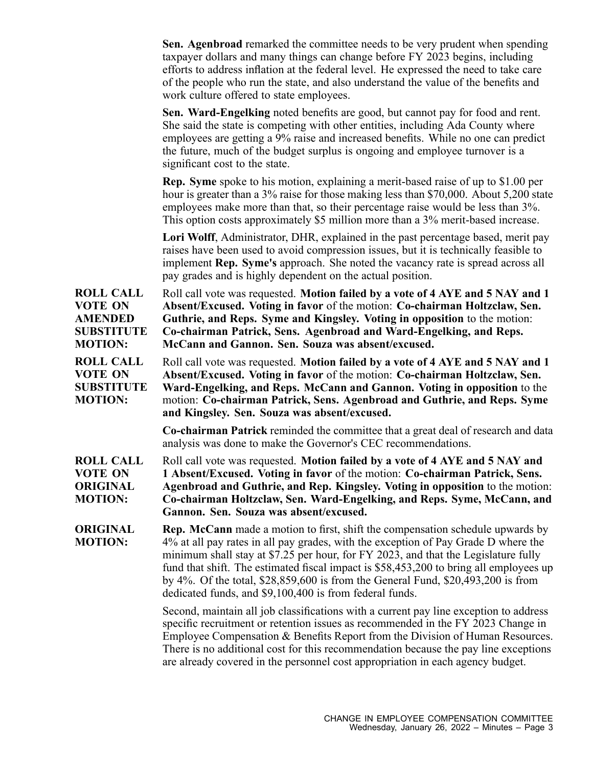|                                                                                             | <b>Sen. Agenbroad</b> remarked the committee needs to be very prudent when spending<br>taxpayer dollars and many things can change before FY 2023 begins, including<br>efforts to address inflation at the federal level. He expressed the need to take care<br>of the people who run the state, and also understand the value of the benefits and<br>work culture offered to state employees.                                                                                                             |
|---------------------------------------------------------------------------------------------|------------------------------------------------------------------------------------------------------------------------------------------------------------------------------------------------------------------------------------------------------------------------------------------------------------------------------------------------------------------------------------------------------------------------------------------------------------------------------------------------------------|
|                                                                                             | Sen. Ward-Engelking noted benefits are good, but cannot pay for food and rent.<br>She said the state is competing with other entities, including Ada County where<br>employees are getting a 9% raise and increased benefits. While no one can predict<br>the future, much of the budget surplus is ongoing and employee turnover is a<br>significant cost to the state.                                                                                                                                   |
|                                                                                             | <b>Rep.</b> Syme spoke to his motion, explaining a merit-based raise of up to \$1.00 per<br>hour is greater than a 3% raise for those making less than \$70,000. About 5,200 state<br>employees make more than that, so their percentage raise would be less than 3%.<br>This option costs approximately \$5 million more than a 3% merit-based increase.                                                                                                                                                  |
|                                                                                             | Lori Wolff, Administrator, DHR, explained in the past percentage based, merit pay<br>raises have been used to avoid compression issues, but it is technically feasible to<br>implement Rep. Syme's approach. She noted the vacancy rate is spread across all<br>pay grades and is highly dependent on the actual position.                                                                                                                                                                                 |
| <b>ROLL CALL</b><br><b>VOTE ON</b><br><b>AMENDED</b><br><b>SUBSTITUTE</b><br><b>MOTION:</b> | Roll call vote was requested. Motion failed by a vote of 4 AYE and 5 NAY and 1<br>Absent/Excused. Voting in favor of the motion: Co-chairman Holtzclaw, Sen.<br>Guthrie, and Reps. Syme and Kingsley. Voting in opposition to the motion:<br>Co-chairman Patrick, Sens. Agenbroad and Ward-Engelking, and Reps.<br>McCann and Gannon. Sen. Souza was absent/excused.                                                                                                                                       |
| <b>ROLL CALL</b><br><b>VOTE ON</b><br><b>SUBSTITUTE</b><br><b>MOTION:</b>                   | Roll call vote was requested. Motion failed by a vote of 4 AYE and 5 NAY and 1<br>Absent/Excused. Voting in favor of the motion: Co-chairman Holtzclaw, Sen.<br>Ward-Engelking, and Reps. McCann and Gannon. Voting in opposition to the<br>motion: Co-chairman Patrick, Sens. Agenbroad and Guthrie, and Reps. Syme<br>and Kingsley. Sen. Souza was absent/excused.                                                                                                                                       |
|                                                                                             | <b>Co-chairman Patrick</b> reminded the committee that a great deal of research and data<br>analysis was done to make the Governor's CEC recommendations.                                                                                                                                                                                                                                                                                                                                                  |
| <b>ROLL CALL</b><br><b>VOTE ON</b><br><b>ORIGINAL</b><br><b>MOTION:</b>                     | Roll call vote was requested. Motion failed by a vote of 4 AYE and 5 NAY and<br>1 Absent/Excused. Voting in favor of the motion: Co-chairman Patrick, Sens.<br>Agenbroad and Guthrie, and Rep. Kingsley. Voting in opposition to the motion:<br>Co-chairman Holtzclaw, Sen. Ward-Engelking, and Reps. Syme, McCann, and<br>Gannon. Sen. Souza was absent/excused.                                                                                                                                          |
| <b>ORIGINAL</b><br><b>MOTION:</b>                                                           | <b>Rep. McCann</b> made a motion to first, shift the compensation schedule upwards by<br>4% at all pay rates in all pay grades, with the exception of Pay Grade D where the<br>minimum shall stay at \$7.25 per hour, for FY 2023, and that the Legislature fully<br>fund that shift. The estimated fiscal impact is \$58,453,200 to bring all employees up<br>by 4%. Of the total, \$28,859,600 is from the General Fund, \$20,493,200 is from<br>dedicated funds, and \$9,100,400 is from federal funds. |
|                                                                                             | Second, maintain all job classifications with a current pay line exception to address<br>specific recruitment or retention issues as recommended in the FY 2023 Change in<br>Employee Compensation & Benefits Report from the Division of Human Resources.<br>There is no additional cost for this recommendation because the pay line exceptions<br>are already covered in the personnel cost appropriation in each agency budget.                                                                        |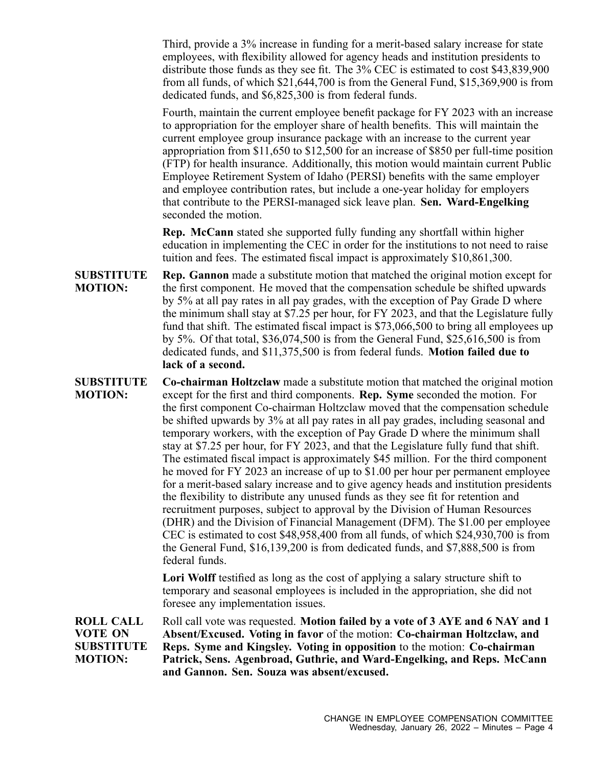Third, provide <sup>a</sup> 3% increase in funding for <sup>a</sup> merit-based salary increase for state employees, with flexibility allowed for agency heads and institution presidents to distribute those funds as they see fit. The 3% CEC is estimated to cost \$43,839,900 from all funds, of which \$21,644,700 is from the General Fund, \$15,369,900 is from dedicated funds, and \$6,825,300 is from federal funds.

Fourth, maintain the current employee benefit package for FY 2023 with an increase to appropriation for the employer share of health benefits. This will maintain the current employee group insurance package with an increase to the current year appropriation from \$11,650 to \$12,500 for an increase of \$850 per full-time position (FTP) for health insurance. Additionally, this motion would maintain current Public Employee Retirement System of Idaho (PERSI) benefits with the same employer and employee contribution rates, but include <sup>a</sup> one-year holiday for employers that contribute to the PERSI-managed sick leave plan. **Sen. Ward-Engelking** seconded the motion.

**Rep. McCann** stated she supported fully funding any shortfall within higher education in implementing the CEC in order for the institutions to not need to raise tuition and fees. The estimated fiscal impact is approximately \$10,861,300.

**SUBSTITUTE MOTION: Rep. Gannon** made <sup>a</sup> substitute motion that matched the original motion excep<sup>t</sup> for the first component. He moved that the compensation schedule be shifted upwards by 5% at all pay rates in all pay grades, with the exception of Pay Grade D where the minimum shall stay at \$7.25 per hour, for FY 2023, and that the Legislature fully fund that shift. The estimated fiscal impact is \$73,066,500 to bring all employees up by 5%. Of that total, \$36,074,500 is from the General Fund, \$25,616,500 is from dedicated funds, and \$11,375,500 is from federal funds. **Motion failed due to lack of <sup>a</sup> second.**

**SUBSTITUTE MOTION: Co-chairman Holtzclaw** made <sup>a</sup> substitute motion that matched the original motion excep<sup>t</sup> for the first and third components. **Rep. Syme** seconded the motion. For the first componen<sup>t</sup> Co-chairman Holtzclaw moved that the compensation schedule be shifted upwards by 3% at all pay rates in all pay grades, including seasonal and temporary workers, with the exception of Pay Grade D where the minimum shall stay at \$7.25 per hour, for FY 2023, and that the Legislature fully fund that shift. The estimated fiscal impact is approximately \$45 million. For the third componen<sup>t</sup> he moved for FY 2023 an increase of up to \$1.00 per hour per permanen<sup>t</sup> employee for <sup>a</sup> merit-based salary increase and to give agency heads and institution presidents the flexibility to distribute any unused funds as they see fit for retention and recruitment purposes, subject to approval by the Division of Human Resources (DHR) and the Division of Financial Management (DFM). The \$1.00 per employee CEC is estimated to cost \$48,958,400 from all funds, of which \$24,930,700 is from the General Fund, \$16,139,200 is from dedicated funds, and \$7,888,500 is from federal funds.

> **Lori Wolff** testified as long as the cost of applying <sup>a</sup> salary structure shift to temporary and seasonal employees is included in the appropriation, she did not foresee any implementation issues.

**ROLL CALL VOTE ON SUBSTITUTE MOTION:** Roll call vote was requested. **Motion failed by <sup>a</sup> vote of 3 AYE and 6 NAY and 1 Absent/Excused. Voting in favor** of the motion: **Co-chairman Holtzclaw, and Reps. Syme and Kingsley. Voting in opposition** to the motion: **Co-chairman Patrick, Sens. Agenbroad, Guthrie, and Ward-Engelking, and Reps. McCann and Gannon. Sen. Souza was absent/excused.**